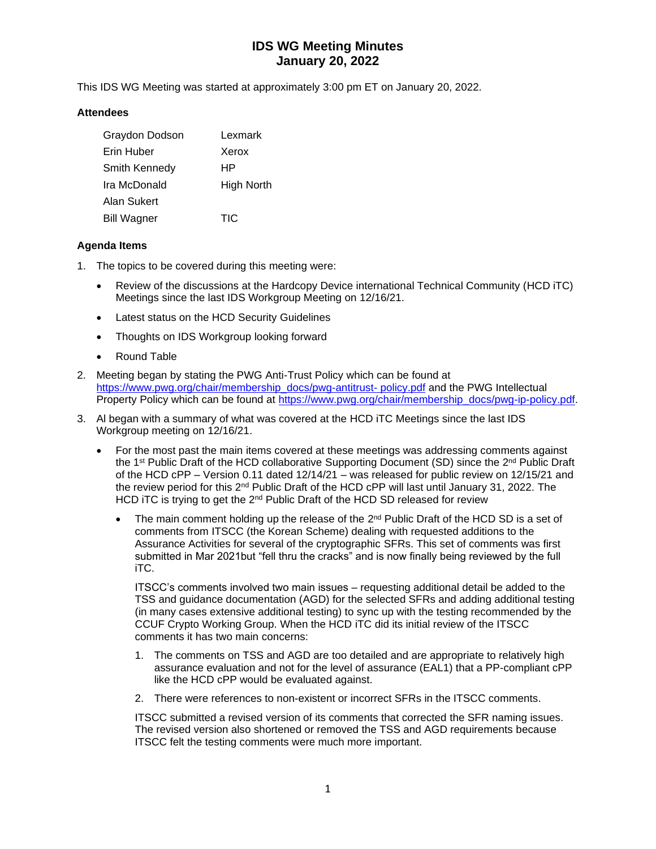# **IDS WG Meeting Minutes January 20, 2022**

This IDS WG Meeting was started at approximately 3:00 pm ET on January 20, 2022.

### **Attendees**

| Graydon Dodson     | Lexmark    |
|--------------------|------------|
| Erin Huber         | Xerox      |
| Smith Kennedy      | НP         |
| Ira McDonald       | High North |
| Alan Sukert        |            |
| <b>Bill Wagner</b> | TIC        |

### **Agenda Items**

- 1. The topics to be covered during this meeting were:
	- Review of the discussions at the Hardcopy Device international Technical Community (HCD iTC) Meetings since the last IDS Workgroup Meeting on 12/16/21.
	- Latest status on the HCD Security Guidelines
	- Thoughts on IDS Workgroup looking forward
	- Round Table
- 2. Meeting began by stating the PWG Anti-Trust Policy which can be found at [https://www.pwg.org/chair/membership\\_docs/pwg-antitrust-](https://www.pwg.org/chair/membership_docs/pwg-antitrust-%20policy.pdf) policy.pdf and the PWG Intellectual Property Policy which can be found at [https://www.pwg.org/chair/membership\\_docs/pwg-ip-policy.pdf.](https://www.pwg.org/chair/membership_docs/pwg-ip-policy.pdf)
- 3. Al began with a summary of what was covered at the HCD iTC Meetings since the last IDS Workgroup meeting on 12/16/21.
	- For the most past the main items covered at these meetings was addressing comments against the 1st Public Draft of the HCD collaborative Supporting Document (SD) since the 2<sup>nd</sup> Public Draft of the HCD cPP – Version 0.11 dated 12/14/21 – was released for public review on 12/15/21 and the review period for this  $2^{nd}$  Public Draft of the HCD cPP will last until January 31, 2022. The HCD iTC is trying to get the 2<sup>nd</sup> Public Draft of the HCD SD released for review
		- The main comment holding up the release of the  $2<sup>nd</sup>$  Public Draft of the HCD SD is a set of comments from ITSCC (the Korean Scheme) dealing with requested additions to the Assurance Activities for several of the cryptographic SFRs. This set of comments was first submitted in Mar 2021but "fell thru the cracks" and is now finally being reviewed by the full iTC.

ITSCC's comments involved two main issues – requesting additional detail be added to the TSS and guidance documentation (AGD) for the selected SFRs and adding additional testing (in many cases extensive additional testing) to sync up with the testing recommended by the CCUF Crypto Working Group. When the HCD iTC did its initial review of the ITSCC comments it has two main concerns:

- 1. The comments on TSS and AGD are too detailed and are appropriate to relatively high assurance evaluation and not for the level of assurance (EAL1) that a PP-compliant cPP like the HCD cPP would be evaluated against.
- 2. There were references to non-existent or incorrect SFRs in the ITSCC comments.

ITSCC submitted a revised version of its comments that corrected the SFR naming issues. The revised version also shortened or removed the TSS and AGD requirements because ITSCC felt the testing comments were much more important.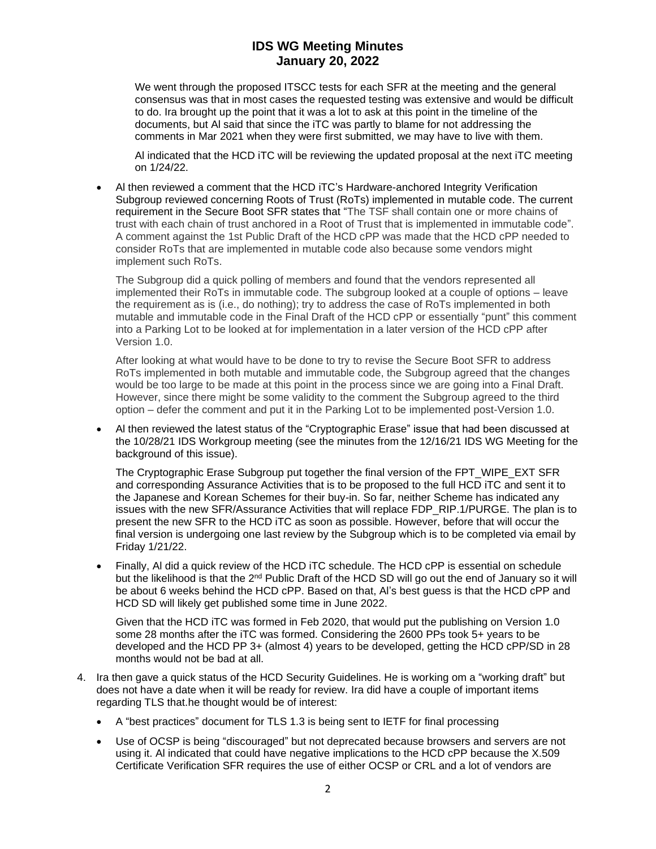## **IDS WG Meeting Minutes January 20, 2022**

We went through the proposed ITSCC tests for each SFR at the meeting and the general consensus was that in most cases the requested testing was extensive and would be difficult to do. Ira brought up the point that it was a lot to ask at this point in the timeline of the documents, but Al said that since the iTC was partly to blame for not addressing the comments in Mar 2021 when they were first submitted, we may have to live with them.

Al indicated that the HCD iTC will be reviewing the updated proposal at the next iTC meeting on 1/24/22.

• Al then reviewed a comment that the HCD iTC's Hardware-anchored Integrity Verification Subgroup reviewed concerning Roots of Trust (RoTs) implemented in mutable code. The current requirement in the Secure Boot SFR states that "The TSF shall contain one or more chains of trust with each chain of trust anchored in a Root of Trust that is implemented in immutable code". A comment against the 1st Public Draft of the HCD cPP was made that the HCD cPP needed to consider RoTs that are implemented in mutable code also because some vendors might implement such RoTs.

The Subgroup did a quick polling of members and found that the vendors represented all implemented their RoTs in immutable code. The subgroup looked at a couple of options – leave the requirement as is (i.e., do nothing); try to address the case of RoTs implemented in both mutable and immutable code in the Final Draft of the HCD cPP or essentially "punt" this comment into a Parking Lot to be looked at for implementation in a later version of the HCD cPP after Version 1.0.

After looking at what would have to be done to try to revise the Secure Boot SFR to address RoTs implemented in both mutable and immutable code, the Subgroup agreed that the changes would be too large to be made at this point in the process since we are going into a Final Draft. However, since there might be some validity to the comment the Subgroup agreed to the third option – defer the comment and put it in the Parking Lot to be implemented post-Version 1.0.

• Al then reviewed the latest status of the "Cryptographic Erase" issue that had been discussed at the 10/28/21 IDS Workgroup meeting (see the minutes from the 12/16/21 IDS WG Meeting for the background of this issue).

The Cryptographic Erase Subgroup put together the final version of the FPT\_WIPE\_EXT SFR and corresponding Assurance Activities that is to be proposed to the full HCD iTC and sent it to the Japanese and Korean Schemes for their buy-in. So far, neither Scheme has indicated any issues with the new SFR/Assurance Activities that will replace FDP\_RIP.1/PURGE. The plan is to present the new SFR to the HCD iTC as soon as possible. However, before that will occur the final version is undergoing one last review by the Subgroup which is to be completed via email by Friday 1/21/22.

• Finally, Al did a quick review of the HCD iTC schedule. The HCD cPP is essential on schedule but the likelihood is that the 2<sup>nd</sup> Public Draft of the HCD SD will go out the end of January so it will be about 6 weeks behind the HCD cPP. Based on that, Al's best guess is that the HCD cPP and HCD SD will likely get published some time in June 2022.

Given that the HCD iTC was formed in Feb 2020, that would put the publishing on Version 1.0 some 28 months after the iTC was formed. Considering the 2600 PPs took 5+ years to be developed and the HCD PP 3+ (almost 4) years to be developed, getting the HCD cPP/SD in 28 months would not be bad at all.

- 4. Ira then gave a quick status of the HCD Security Guidelines. He is working om a "working draft" but does not have a date when it will be ready for review. Ira did have a couple of important items regarding TLS that.he thought would be of interest:
	- A "best practices" document for TLS 1.3 is being sent to IETF for final processing
	- Use of OCSP is being "discouraged" but not deprecated because browsers and servers are not using it. Al indicated that could have negative implications to the HCD cPP because the X.509 Certificate Verification SFR requires the use of either OCSP or CRL and a lot of vendors are